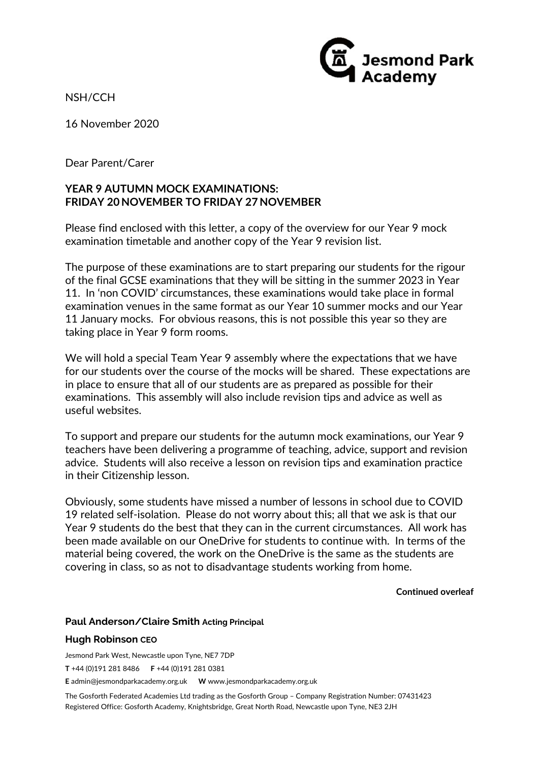NSH/CCH

16 November 2020

Dear Parent/Carer

## **YEAR 9 AUTUMN MOCK EXAMINATIONS: FRIDAY 20 NOVEMBER TO FRIDAY 27 NOVEMBER**

Please find enclosed with this letter, a copy of the overview for our Year 9 mock examination timetable and another copy of the Year 9 revision list.

The purpose of these examinations are to start preparing our students for the rigour of the final GCSE examinations that they will be sitting in the summer 2023 in Year 11. In 'non COVID' circumstances, these examinations would take place in formal examination venues in the same format as our Year 10 summer mocks and our Year 11 January mocks. For obvious reasons, this is not possible this year so they are taking place in Year 9 form rooms.

We will hold a special Team Year 9 assembly where the expectations that we have for our students over the course of the mocks will be shared. These expectations are in place to ensure that all of our students are as prepared as possible for their examinations. This assembly will also include revision tips and advice as well as useful websites.

To support and prepare our students for the autumn mock examinations, our Year 9 teachers have been delivering a programme of teaching, advice, support and revision advice. Students will also receive a lesson on revision tips and examination practice in their Citizenship lesson.

Obviously, some students have missed a number of lessons in school due to COVID 19 related self‐isolation. Please do not worry about this; all that we ask is that our Year 9 students do the best that they can in the current circumstances. All work has been made available on our OneDrive for students to continue with. In terms of the material being covered, the work on the OneDrive is the same as the students are covering in class, so as not to disadvantage students working from home.

**Continued overleaf**

**Jesmond Park**<br>Academy

## **Paul Anderson/Claire Smith Acting Principal**

## **Hugh Robinson CEO**

Jesmond Park West, Newcastle upon Tyne, NE7 7DP

**T** +44 (0)191 281 8486 **F** +44 (0)191 281 0381

**E** admin@jesmondparkacademy.org.uk **W** www.jesmondparkacademy.org.uk

The Gosforth Federated Academies Ltd trading as the Gosforth Group – Company Registration Number: 07431423 Registered Office: Gosforth Academy, Knightsbridge, Great North Road, Newcastle upon Tyne, NE3 2JH